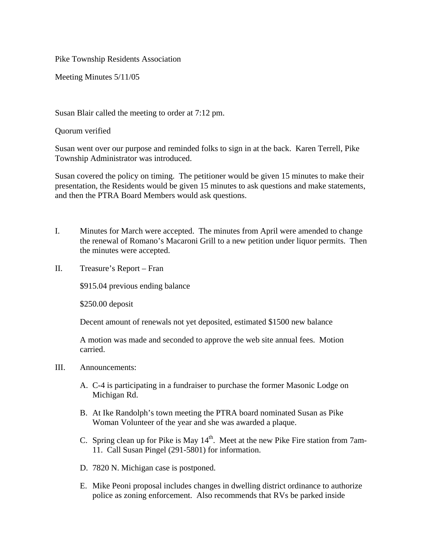Pike Township Residents Association

Meeting Minutes 5/11/05

Susan Blair called the meeting to order at 7:12 pm.

Quorum verified

Susan went over our purpose and reminded folks to sign in at the back. Karen Terrell, Pike Township Administrator was introduced.

Susan covered the policy on timing. The petitioner would be given 15 minutes to make their presentation, the Residents would be given 15 minutes to ask questions and make statements, and then the PTRA Board Members would ask questions.

- I. Minutes for March were accepted. The minutes from April were amended to change the renewal of Romano's Macaroni Grill to a new petition under liquor permits. Then the minutes were accepted.
- II. Treasure's Report Fran

\$915.04 previous ending balance

\$250.00 deposit

Decent amount of renewals not yet deposited, estimated \$1500 new balance

A motion was made and seconded to approve the web site annual fees. Motion carried.

- III. Announcements:
	- A. C-4 is participating in a fundraiser to purchase the former Masonic Lodge on Michigan Rd.
	- B. At Ike Randolph's town meeting the PTRA board nominated Susan as Pike Woman Volunteer of the year and she was awarded a plaque.
	- C. Spring clean up for Pike is May  $14<sup>th</sup>$ . Meet at the new Pike Fire station from 7am-11. Call Susan Pingel (291-5801) for information.
	- D. 7820 N. Michigan case is postponed.
	- E. Mike Peoni proposal includes changes in dwelling district ordinance to authorize police as zoning enforcement. Also recommends that RVs be parked inside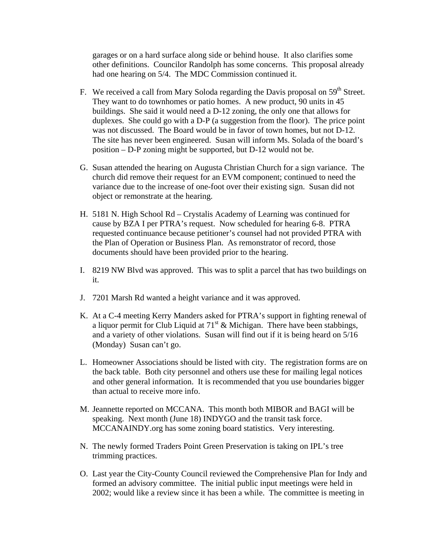garages or on a hard surface along side or behind house. It also clarifies some other definitions. Councilor Randolph has some concerns. This proposal already had one hearing on  $5/4$ . The MDC Commission continued it.

- F. We received a call from Mary Soloda regarding the Davis proposal on  $59<sup>th</sup>$  Street. They want to do townhomes or patio homes. A new product, 90 units in 45 buildings. She said it would need a D-12 zoning, the only one that allows for duplexes. She could go with a D-P (a suggestion from the floor). The price point was not discussed. The Board would be in favor of town homes, but not D-12. The site has never been engineered. Susan will inform Ms. Solada of the board's position – D-P zoning might be supported, but D-12 would not be.
- G. Susan attended the hearing on Augusta Christian Church for a sign variance. The church did remove their request for an EVM component; continued to need the variance due to the increase of one-foot over their existing sign. Susan did not object or remonstrate at the hearing.
- H. 5181 N. High School Rd Crystalis Academy of Learning was continued for cause by BZA I per PTRA's request. Now scheduled for hearing 6-8. PTRA requested continuance because petitioner's counsel had not provided PTRA with the Plan of Operation or Business Plan. As remonstrator of record, those documents should have been provided prior to the hearing.
- I. 8219 NW Blvd was approved. This was to split a parcel that has two buildings on it.
- J. 7201 Marsh Rd wanted a height variance and it was approved.
- K. At a C-4 meeting Kerry Manders asked for PTRA's support in fighting renewal of a liquor permit for Club Liquid at  $71<sup>st</sup>$  & Michigan. There have been stabbings, and a variety of other violations. Susan will find out if it is being heard on 5/16 (Monday) Susan can't go.
- L. Homeowner Associations should be listed with city. The registration forms are on the back table. Both city personnel and others use these for mailing legal notices and other general information. It is recommended that you use boundaries bigger than actual to receive more info.
- M. Jeannette reported on MCCANA. This month both MIBOR and BAGI will be speaking. Next month (June 18) INDYGO and the transit task force. MCCANAINDY.org has some zoning board statistics. Very interesting.
- N. The newly formed Traders Point Green Preservation is taking on IPL's tree trimming practices.
- O. Last year the City-County Council reviewed the Comprehensive Plan for Indy and formed an advisory committee. The initial public input meetings were held in 2002; would like a review since it has been a while. The committee is meeting in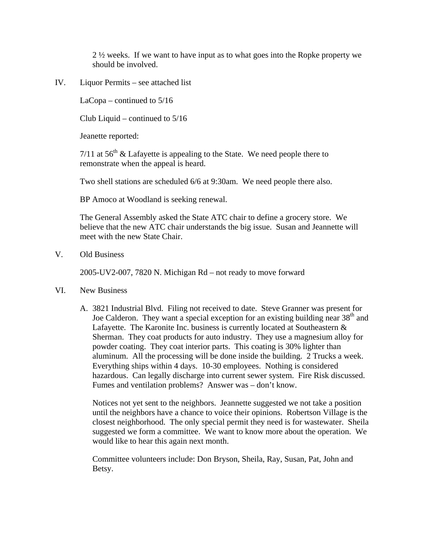2 ½ weeks. If we want to have input as to what goes into the Ropke property we should be involved.

IV. Liquor Permits – see attached list

LaCopa – continued to 5/16

Club Liquid – continued to 5/16

Jeanette reported:

7/11 at  $56<sup>th</sup>$  & Lafayette is appealing to the State. We need people there to remonstrate when the appeal is heard.

Two shell stations are scheduled 6/6 at 9:30am. We need people there also.

BP Amoco at Woodland is seeking renewal.

The General Assembly asked the State ATC chair to define a grocery store. We believe that the new ATC chair understands the big issue. Susan and Jeannette will meet with the new State Chair.

V. Old Business

2005-UV2-007, 7820 N. Michigan Rd – not ready to move forward

- VI. New Business
	- A. 3821 Industrial Blvd. Filing not received to date. Steve Granner was present for Joe Calderon. They want a special exception for an existing building near  $38<sup>th</sup>$  and Lafayette. The Karonite Inc. business is currently located at Southeastern & Sherman. They coat products for auto industry. They use a magnesium alloy for powder coating. They coat interior parts. This coating is 30% lighter than aluminum. All the processing will be done inside the building. 2 Trucks a week. Everything ships within 4 days. 10-30 employees. Nothing is considered hazardous. Can legally discharge into current sewer system. Fire Risk discussed. Fumes and ventilation problems? Answer was – don't know.

Notices not yet sent to the neighbors. Jeannette suggested we not take a position until the neighbors have a chance to voice their opinions. Robertson Village is the closest neighborhood. The only special permit they need is for wastewater. Sheila suggested we form a committee. We want to know more about the operation. We would like to hear this again next month.

Committee volunteers include: Don Bryson, Sheila, Ray, Susan, Pat, John and Betsy.